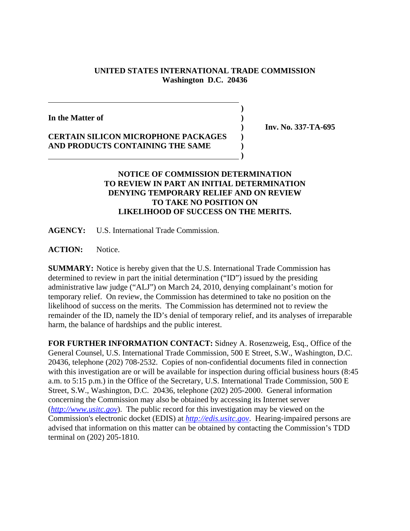## **UNITED STATES INTERNATIONAL TRADE COMMISSION Washington D.C. 20436**

**)**

**In the Matter of )**

## **CERTAIN SILICON MICROPHONE PACKAGES ) AND PRODUCTS CONTAINING THE SAME ) )**

 **) Inv. No. 337-TA-695**

## **NOTICE OF COMMISSION DETERMINATION TO REVIEW IN PART AN INITIAL DETERMINATION DENYING TEMPORARY RELIEF AND ON REVIEW TO TAKE NO POSITION ON LIKELIHOOD OF SUCCESS ON THE MERITS.**

**AGENCY:** U.S. International Trade Commission.

**ACTION:** Notice.

**SUMMARY:** Notice is hereby given that the U.S. International Trade Commission has determined to review in part the initial determination ("ID") issued by the presiding administrative law judge ("ALJ") on March 24, 2010, denying complainant's motion for temporary relief. On review, the Commission has determined to take no position on the likelihood of success on the merits. The Commission has determined not to review the remainder of the ID, namely the ID's denial of temporary relief, and its analyses of irreparable harm, the balance of hardships and the public interest.

**FOR FURTHER INFORMATION CONTACT:** Sidney A. Rosenzweig, Esq., Office of the General Counsel, U.S. International Trade Commission, 500 E Street, S.W., Washington, D.C. 20436, telephone (202) 708-2532. Copies of non-confidential documents filed in connection with this investigation are or will be available for inspection during official business hours (8:45 a.m. to 5:15 p.m.) in the Office of the Secretary, U.S. International Trade Commission, 500 E Street, S.W., Washington, D.C. 20436, telephone (202) 205-2000. General information concerning the Commission may also be obtained by accessing its Internet server (*http://www.usitc.gov*). The public record for this investigation may be viewed on the Commission's electronic docket (EDIS) at *http://edis.usitc.gov*. Hearing-impaired persons are advised that information on this matter can be obtained by contacting the Commission's TDD terminal on (202) 205-1810.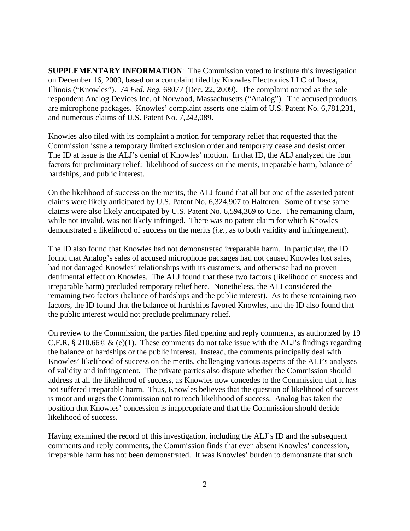**SUPPLEMENTARY INFORMATION**: The Commission voted to institute this investigation on December 16, 2009, based on a complaint filed by Knowles Electronics LLC of Itasca, Illinois ("Knowles"). 74 *Fed. Reg.* 68077 (Dec. 22, 2009). The complaint named as the sole respondent Analog Devices Inc. of Norwood, Massachusetts ("Analog"). The accused products are microphone packages. Knowles' complaint asserts one claim of U.S. Patent No. 6,781,231, and numerous claims of U.S. Patent No. 7,242,089.

Knowles also filed with its complaint a motion for temporary relief that requested that the Commission issue a temporary limited exclusion order and temporary cease and desist order. The ID at issue is the ALJ's denial of Knowles' motion. In that ID, the ALJ analyzed the four factors for preliminary relief: likelihood of success on the merits, irreparable harm, balance of hardships, and public interest.

On the likelihood of success on the merits, the ALJ found that all but one of the asserted patent claims were likely anticipated by U.S. Patent No. 6,324,907 to Halteren. Some of these same claims were also likely anticipated by U.S. Patent No. 6,594,369 to Une. The remaining claim, while not invalid, was not likely infringed. There was no patent claim for which Knowles demonstrated a likelihood of success on the merits (*i.e.*, as to both validity and infringement).

The ID also found that Knowles had not demonstrated irreparable harm. In particular, the ID found that Analog's sales of accused microphone packages had not caused Knowles lost sales, had not damaged Knowles' relationships with its customers, and otherwise had no proven detrimental effect on Knowles. The ALJ found that these two factors (likelihood of success and irreparable harm) precluded temporary relief here. Nonetheless, the ALJ considered the remaining two factors (balance of hardships and the public interest). As to these remaining two factors, the ID found that the balance of hardships favored Knowles, and the ID also found that the public interest would not preclude preliminary relief.

On review to the Commission, the parties filed opening and reply comments, as authorized by 19 C.F.R. § 210.66 $\odot \& (e)(1)$ . These comments do not take issue with the ALJ's findings regarding the balance of hardships or the public interest. Instead, the comments principally deal with Knowles' likelihood of success on the merits, challenging various aspects of the ALJ's analyses of validity and infringement. The private parties also dispute whether the Commission should address at all the likelihood of success, as Knowles now concedes to the Commission that it has not suffered irreparable harm. Thus, Knowles believes that the question of likelihood of success is moot and urges the Commission not to reach likelihood of success. Analog has taken the position that Knowles' concession is inappropriate and that the Commission should decide likelihood of success.

Having examined the record of this investigation, including the ALJ's ID and the subsequent comments and reply comments, the Commission finds that even absent Knowles' concession, irreparable harm has not been demonstrated. It was Knowles' burden to demonstrate that such